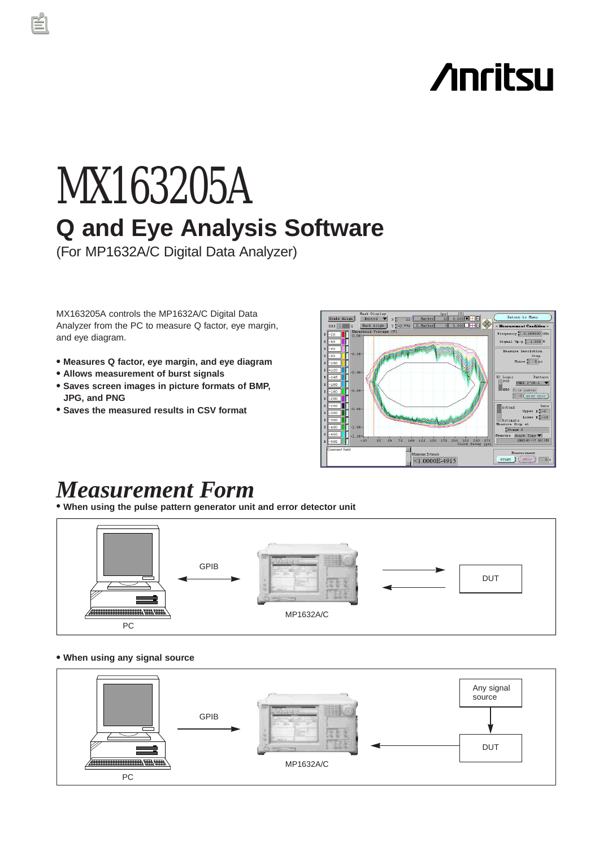# **Anritsu**

# MX163205A **Q and Eye Analysis Software**

(For MP1632A/C Digital Data Analyzer)

MX163205A controls the MP1632A/C Digital Data Analyzer from the PC to measure Q factor, eye margin, and eye diagram.

- **• Measures Q factor, eye margin, and eye diagram**
- **• Allows measurement of burst signals**
- **• Saves screen images in picture formats of BMP, JPG, and PNG**
- **• Saves the measured results in CSV format**



# *Measurement Form* **•** *When using the pulse pattern generator unit and error detector unit*



**• When using any signal source**

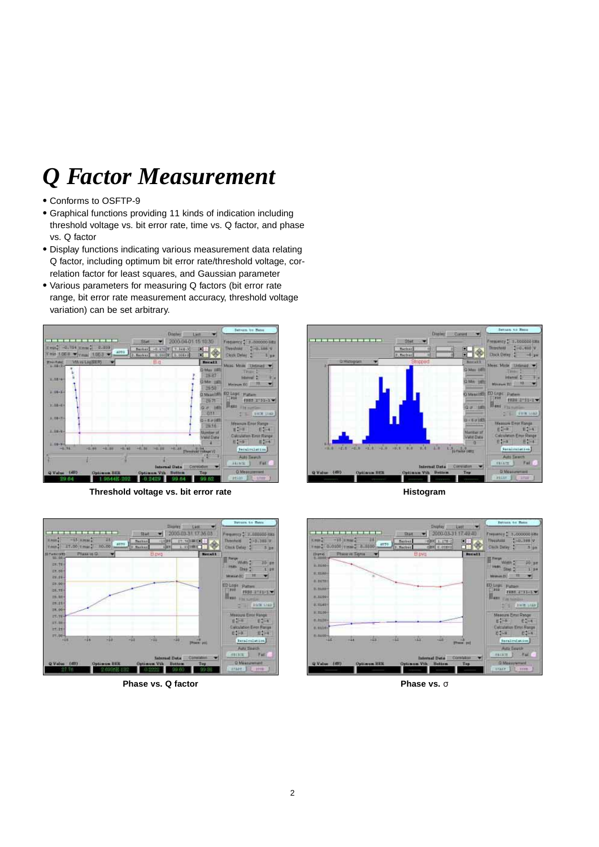## *Q Factor Measurement*

#### • Conforms to OSFTP-9

- Graphical functions providing 11 kinds of indication including threshold voltage vs. bit error rate, time vs. Q factor, and phase vs. Q factor
- Display functions indicating various measurement data relating Q factor, including optimum bit error rate/threshold voltage, correlation factor for least squares, and Gaussian parameter
- Various parameters for measuring Q factors (bit error rate range, bit error rate measurement accuracy, threshold voltage variation) can be set arbitrary.



**Threshold voltage vs. bit error rate example 3 and 3 and 4 and 4 and 4 and 4 and 4 and 4 and 4 and 4 and 4 and 4 and 4 and 4 and 4 and 4 and 4 and 4 and 4 and 4 and 4 and 4 and 4 and 4 and 4 and 4 and 4 and 4 and 4 and 4** 



**Phase vs. Q factor Phase vs.** σ





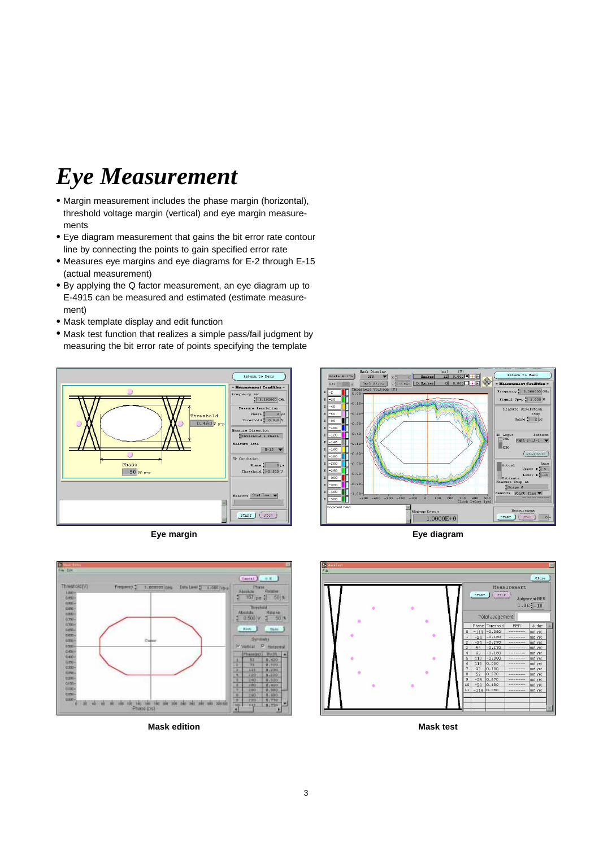## *Eye Measurement*

- Margin measurement includes the phase margin (horizontal), threshold voltage margin (vertical) and eye margin measurements
- Eye diagram measurement that gains the bit error rate contour line by connecting the points to gain specified error rate
- Measures eye margins and eye diagrams for E-2 through E-15 (actual measurement)
- By applying the Q factor measurement, an eye diagram up to E-4915 can be measured and estimated (estimate measurement)
- Mask template display and edit function
- Mask test function that realizes a simple pass/fail judgment by measuring the bit error rate of points specifying the template





**Mask edition Mask test**



**Eye margin Eye diagram**